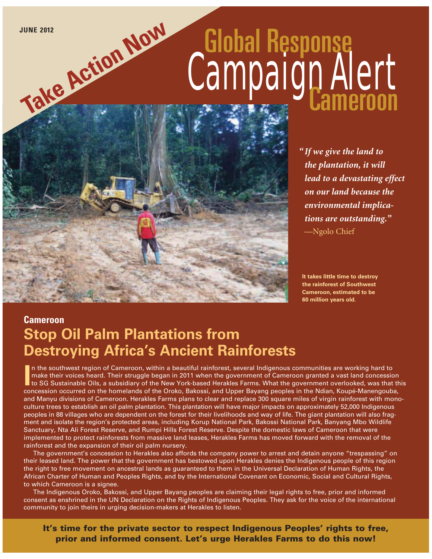# Campaign Alert Global Response LI LILLE<br>Cameroon



*" If we give the land to the plantation, it will lead to a devastating effect on our land because the environmental implications are outstanding."*

—Ngolo Chief

**It takes little time to destroy the rainforest of Southwest Cameroon, estimated to be 60 million years old.**

### **Cameroon**

## **Stop Oil Palm Plantations from Destroying Africa's Ancient Rainforests**

**I** n the southwest region of Cameroon, within a beautiful rainforest, several Indigenous communities are working hard to make their voices heard. Their struggle began in 2011 when the government of Cameroon granted a vast land concession to SG Sustainable Oils, a subsidiary of the New York-based Herakles Farms. What the government overlooked, was that this concession occurred on the homelands of the Oroko, Bakossi, and Upper Bayang peoples in the Ndian, Koupé-Manengouba, and Manyu divisions of Cameroon. Herakles Farms plans to clear and replace 300 square miles of virgin rainforest with monoculture trees to establish an oil palm plantation. This plantation will have major impacts on approximately 52,000 Indigenous peoples in 88 villages who are dependent on the forest for their livelihoods and way of life. The giant plantation will also fragment and isolate the region's protected areas, including Korup National Park, Bakossi National Park, Banyang Mbo Wildlife Sanctuary, Nta Ali Forest Reserve, and Rumpi Hills Forest Reserve. Despite the domestic laws of Cameroon that were implemented to protect rainforests from massive land leases, Herakles Farms has moved forward with the removal of the rainforest and the expansion of their oil palm nursery.

 The government's concession to Herakles also affords the company power to arrest and detain anyone "trespassing" on their leased land. The power that the government has bestowed upon Herakles denies the Indigenous people of this region the right to free movement on ancestral lands as guaranteed to them in the Universal Declaration of Human Rights, the African Charter of Human and Peoples Rights, and by the International Covenant on Economic, Social and Cultural Rights, to which Cameroon is a signee.

 The Indigenous Oroko, Bakossi, and Upper Bayang peoples are claiming their legal rights to free, prior and informed consent as enshrined in the UN Declaration on the Rights of Indigenous Peoples. They ask for the voice of the international community to join theirs in urging decision-makers at Herakles to listen.

**prior and informed consent. Let's urge Herakles Farms to do this now! It's time for the private sector to respect Indigenous Peoples' rights to free,**